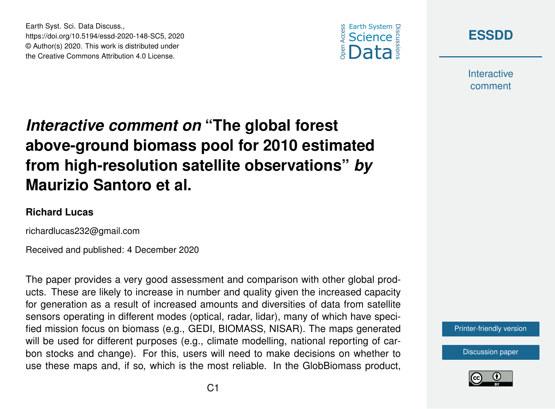



**Interactive** comment

## *Interactive comment on* **"The global forest above-ground biomass pool for 2010 estimated from high-resolution satellite observations"** *by* **Maurizio Santoro et al.**

## **Richard Lucas**

richardlucas232@gmail.com

Earth Syst. Sci. Data Discuss.,

https://doi.org/10.5194/essd-2020-148-SC5, 2020 © Author(s) 2020. This work is distributed under the Creative Commons Attribution 4.0 License.

Received and published: 4 December 2020

The paper provides a very good assessment and comparison with other global products. These are likely to increase in number and quality given the increased capacity for generation as a result of increased amounts and diversities of data from satellite sensors operating in different modes (optical, radar, lidar), many of which have specified mission focus on biomass (e.g., GEDI, BIOMASS, NISAR). The maps generated will be used for different purposes (e.g., climate modelling, national reporting of carbon stocks and change). For this, users will need to make decisions on whether to use these maps and, if so, which is the most reliable. In the GlobBiomass product,



[Discussion paper](https://essd.copernicus.org/preprints/essd-2020-148)